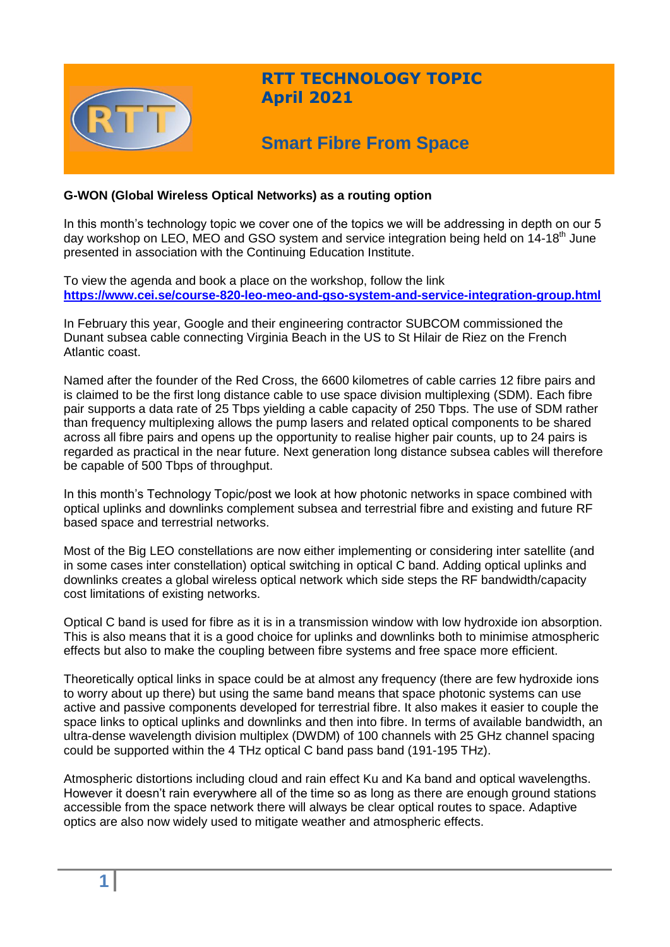

## **RTT TECHNOLOGY TOPIC April 2021**

# **Smart Fibre From Space**

## **G-WON (Global Wireless Optical Networks) as a routing option**

In this month's technology topic we cover one of the topics we will be addressing in depth on our 5 day workshop on LEO, MEO and GSO system and service integration being held on 14-18<sup>th</sup> June presented in association with the Continuing Education Institute.

To view the agenda and book a place on the workshop, follow the link **<https://www.cei.se/course-820-leo-meo-and-gso-system-and-service-integration-group.html>**

In February this year, Google and their engineering contractor SUBCOM commissioned the Dunant subsea cable connecting Virginia Beach in the US to St Hilair de Riez on the French Atlantic coast.

Named after the founder of the Red Cross, the 6600 kilometres of cable carries 12 fibre pairs and is claimed to be the first long distance cable to use space division multiplexing (SDM). Each fibre pair supports a data rate of 25 Tbps yielding a cable capacity of 250 Tbps. The use of SDM rather than frequency multiplexing allows the pump lasers and related optical components to be shared across all fibre pairs and opens up the opportunity to realise higher pair counts, up to 24 pairs is regarded as practical in the near future. Next generation long distance subsea cables will therefore be capable of 500 Tbps of throughput.

In this month's Technology Topic/post we look at how photonic networks in space combined with optical uplinks and downlinks complement subsea and terrestrial fibre and existing and future RF based space and terrestrial networks.

Most of the Big LEO constellations are now either implementing or considering inter satellite (and in some cases inter constellation) optical switching in optical C band. Adding optical uplinks and downlinks creates a global wireless optical network which side steps the RF bandwidth/capacity cost limitations of existing networks.

Optical C band is used for fibre as it is in a transmission window with low hydroxide ion absorption. This is also means that it is a good choice for uplinks and downlinks both to minimise atmospheric effects but also to make the coupling between fibre systems and free space more efficient.

Theoretically optical links in space could be at almost any frequency (there are few hydroxide ions to worry about up there) but using the same band means that space photonic systems can use active and passive components developed for terrestrial fibre. It also makes it easier to couple the space links to optical uplinks and downlinks and then into fibre. In terms of available bandwidth, an ultra-dense wavelength division multiplex (DWDM) of 100 channels with 25 GHz channel spacing could be supported within the 4 THz optical C band pass band (191-195 THz).

Atmospheric distortions including cloud and rain effect Ku and Ka band and optical wavelengths. However it doesn't rain everywhere all of the time so as long as there are enough ground stations accessible from the space network there will always be clear optical routes to space. Adaptive optics are also now widely used to mitigate weather and atmospheric effects.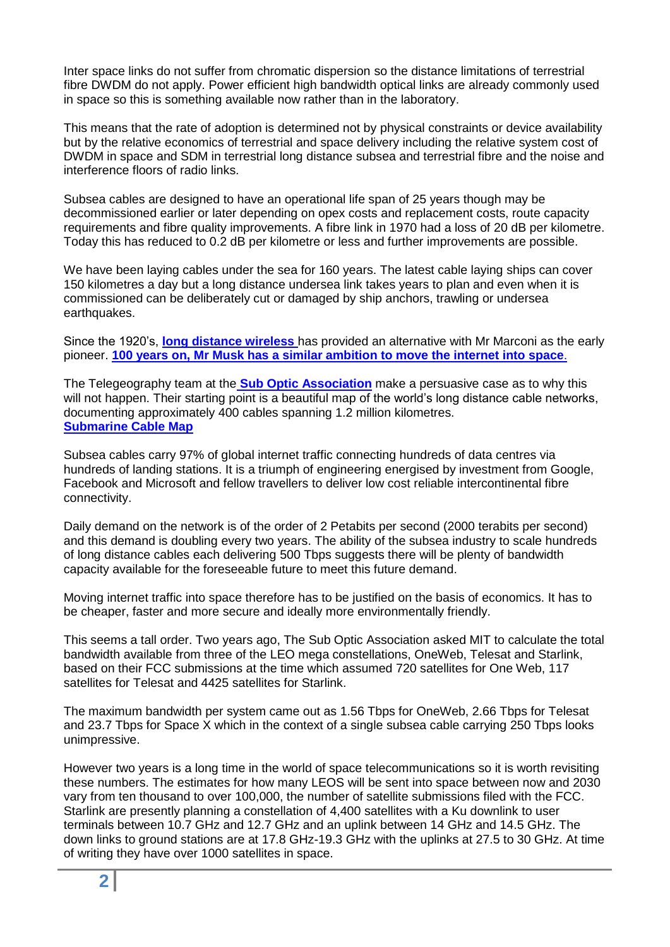Inter space links do not suffer from chromatic dispersion so the distance limitations of terrestrial fibre DWDM do not apply. Power efficient high bandwidth optical links are already commonly used in space so this is something available now rather than in the laboratory.

This means that the rate of adoption is determined not by physical constraints or device availability but by the relative economics of terrestrial and space delivery including the relative system cost of DWDM in space and SDM in terrestrial long distance subsea and terrestrial fibre and the noise and interference floors of radio links.

Subsea cables are designed to have an operational life span of 25 years though may be decommissioned earlier or later depending on opex costs and replacement costs, route capacity requirements and fibre quality improvements. A fibre link in 1970 had a loss of 20 dB per kilometre. Today this has reduced to 0.2 dB per kilometre or less and further improvements are possible.

We have been laying cables under the sea for 160 years. The latest cable laying ships can cover 150 kilometres a day but a long distance undersea link takes years to plan and even when it is commissioned can be deliberately cut or damaged by ship anchors, trawling or undersea earthquakes.

Since the 1920's, **[long distance wireless](http://www.rttonline.com/documents/marconi_fisk_heritage_article.pdf)** has provided an alternative with Mr Marconi as the early pioneer. **100 years [on, Mr Musk has a similar ambition to move the internet into space](https://cleantechnica.com/2018/11/21/sea-cables-or-low-orbit-satellites-the-race-for-internet-supremacy-has-begun/)**.

The Telegeography team at the **[Sub Optic Association](https://suboptic.org/)** make a persuasive case as to why this will not happen. Their starting point is a beautiful map of the world's long distance cable networks, documenting approximately 400 cables spanning 1.2 million kilometres. **[Submarine Cable Map](https://www.submarinecablemap.com/)**

Subsea cables carry 97% of global internet traffic connecting hundreds of data centres via hundreds of landing stations. It is a triumph of engineering energised by investment from Google, Facebook and Microsoft and fellow travellers to deliver low cost reliable intercontinental fibre connectivity.

Daily demand on the network is of the order of 2 Petabits per second (2000 terabits per second) and this demand is doubling every two years. The ability of the subsea industry to scale hundreds of long distance cables each delivering 500 Tbps suggests there will be plenty of bandwidth capacity available for the foreseeable future to meet this future demand.

Moving internet traffic into space therefore has to be justified on the basis of economics. It has to be cheaper, faster and more secure and ideally more environmentally friendly.

This seems a tall order. Two years ago, The Sub Optic Association asked MIT to calculate the total bandwidth available from three of the LEO mega constellations, OneWeb, Telesat and Starlink, based on their FCC submissions at the time which assumed 720 satellites for One Web, 117 satellites for Telesat and 4425 satellites for Starlink.

The maximum bandwidth per system came out as 1.56 Tbps for OneWeb, 2.66 Tbps for Telesat and 23.7 Tbps for Space X which in the context of a single subsea cable carrying 250 Tbps looks unimpressive.

However two years is a long time in the world of space telecommunications so it is worth revisiting these numbers. The estimates for how many LEOS will be sent into space between now and 2030 vary from ten thousand to over 100,000, the number of satellite submissions filed with the FCC. Starlink are presently planning a constellation of 4,400 satellites with a Ku downlink to user terminals between 10.7 GHz and 12.7 GHz and an uplink between 14 GHz and 14.5 GHz. The down links to ground stations are at 17.8 GHz-19.3 GHz with the uplinks at 27.5 to 30 GHz. At time of writing they have over 1000 satellites in space.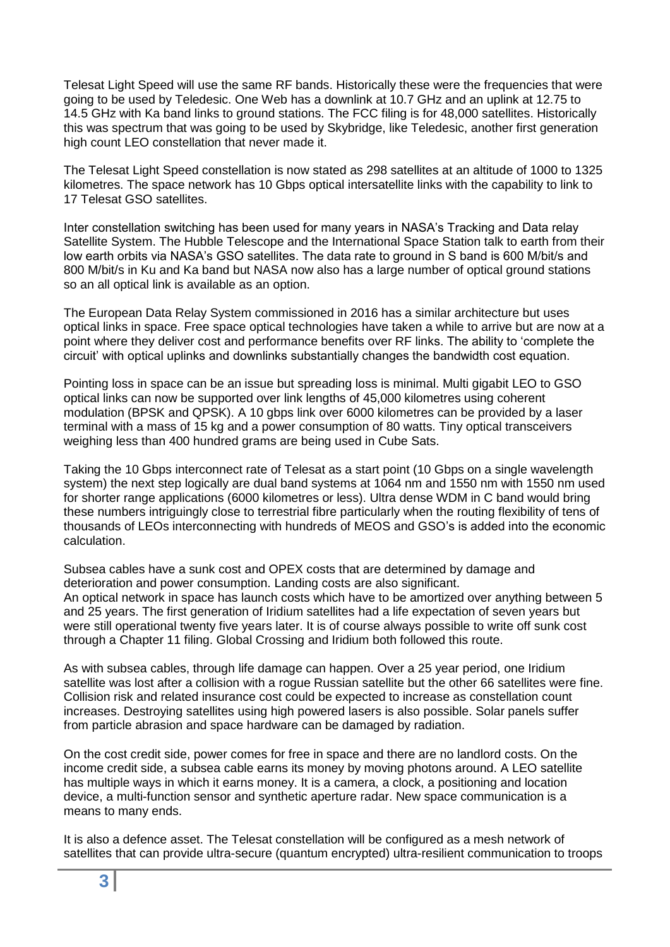Telesat Light Speed will use the same RF bands. Historically these were the frequencies that were going to be used by Teledesic. One Web has a downlink at 10.7 GHz and an uplink at 12.75 to 14.5 GHz with Ka band links to ground stations. The FCC filing is for 48,000 satellites. Historically this was spectrum that was going to be used by Skybridge, like Teledesic, another first generation high count LEO constellation that never made it.

The Telesat Light Speed constellation is now stated as 298 satellites at an altitude of 1000 to 1325 kilometres. The space network has 10 Gbps optical intersatellite links with the capability to link to 17 Telesat GSO satellites.

Inter constellation switching has been used for many years in NASA's Tracking and Data relay Satellite System. The Hubble Telescope and the International Space Station talk to earth from their low earth orbits via NASA's GSO satellites. The data rate to ground in S band is 600 M/bit/s and 800 M/bit/s in Ku and Ka band but NASA now also has a large number of optical ground stations so an all optical link is available as an option.

The European Data Relay System commissioned in 2016 has a similar architecture but uses optical links in space. Free space optical technologies have taken a while to arrive but are now at a point where they deliver cost and performance benefits over RF links. The ability to 'complete the circuit' with optical uplinks and downlinks substantially changes the bandwidth cost equation.

Pointing loss in space can be an issue but spreading loss is minimal. Multi gigabit LEO to GSO optical links can now be supported over link lengths of 45,000 kilometres using coherent modulation (BPSK and QPSK). A 10 gbps link over 6000 kilometres can be provided by a laser terminal with a mass of 15 kg and a power consumption of 80 watts. Tiny optical transceivers weighing less than 400 hundred grams are being used in Cube Sats.

Taking the 10 Gbps interconnect rate of Telesat as a start point (10 Gbps on a single wavelength system) the next step logically are dual band systems at 1064 nm and 1550 nm with 1550 nm used for shorter range applications (6000 kilometres or less). Ultra dense WDM in C band would bring these numbers intriguingly close to terrestrial fibre particularly when the routing flexibility of tens of thousands of LEOs interconnecting with hundreds of MEOS and GSO's is added into the economic calculation.

Subsea cables have a sunk cost and OPEX costs that are determined by damage and deterioration and power consumption. Landing costs are also significant. An optical network in space has launch costs which have to be amortized over anything between 5 and 25 years. The first generation of Iridium satellites had a life expectation of seven years but were still operational twenty five years later. It is of course always possible to write off sunk cost through a Chapter 11 filing. Global Crossing and Iridium both followed this route.

As with subsea cables, through life damage can happen. Over a 25 year period, one Iridium satellite was lost after a collision with a rogue Russian satellite but the other 66 satellites were fine. Collision risk and related insurance cost could be expected to increase as constellation count increases. Destroying satellites using high powered lasers is also possible. Solar panels suffer from particle abrasion and space hardware can be damaged by radiation.

On the cost credit side, power comes for free in space and there are no landlord costs. On the income credit side, a subsea cable earns its money by moving photons around. A LEO satellite has multiple ways in which it earns money. It is a camera, a clock, a positioning and location device, a multi-function sensor and synthetic aperture radar. New space communication is a means to many ends.

It is also a defence asset. The Telesat constellation will be configured as a mesh network of satellites that can provide ultra-secure (quantum encrypted) ultra-resilient communication to troops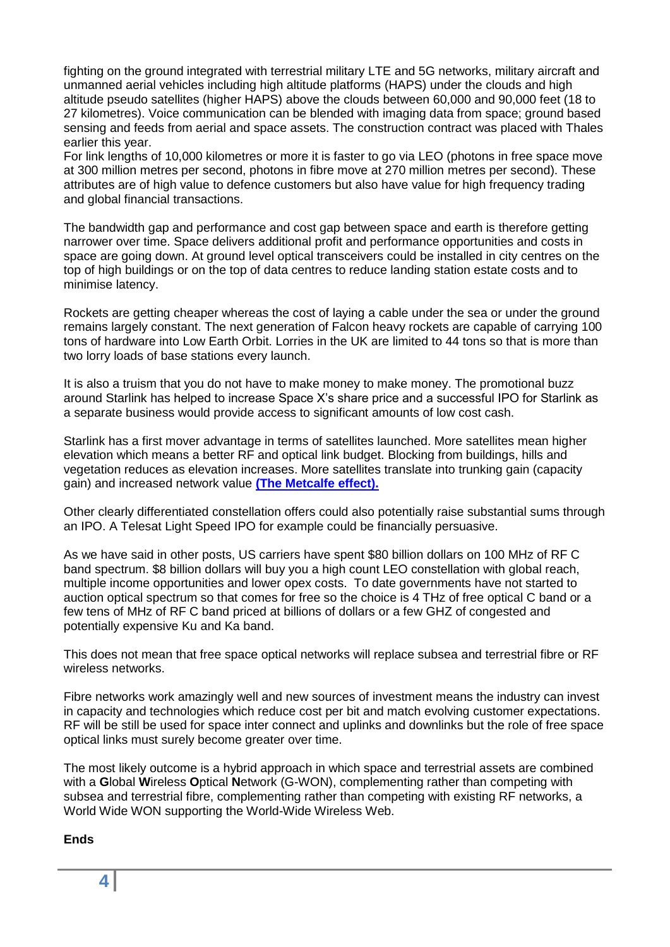fighting on the ground integrated with terrestrial military LTE and 5G networks, military aircraft and unmanned aerial vehicles including high altitude platforms (HAPS) under the clouds and high altitude pseudo satellites (higher HAPS) above the clouds between 60,000 and 90,000 feet (18 to 27 kilometres). Voice communication can be blended with imaging data from space; ground based sensing and feeds from aerial and space assets. The construction contract was placed with Thales earlier this year.

For link lengths of 10,000 kilometres or more it is faster to go via LEO (photons in free space move at 300 million metres per second, photons in fibre move at 270 million metres per second). These attributes are of high value to defence customers but also have value for high frequency trading and global financial transactions.

The bandwidth gap and performance and cost gap between space and earth is therefore getting narrower over time. Space delivers additional profit and performance opportunities and costs in space are going down. At ground level optical transceivers could be installed in city centres on the top of high buildings or on the top of data centres to reduce landing station estate costs and to minimise latency.

Rockets are getting cheaper whereas the cost of laying a cable under the sea or under the ground remains largely constant. The next generation of Falcon heavy rockets are capable of carrying 100 tons of hardware into Low Earth Orbit. Lorries in the UK are limited to 44 tons so that is more than two lorry loads of base stations every launch.

It is also a truism that you do not have to make money to make money. The promotional buzz around Starlink has helped to increase Space X's share price and a successful IPO for Starlink as a separate business would provide access to significant amounts of low cost cash.

Starlink has a first mover advantage in terms of satellites launched. More satellites mean higher elevation which means a better RF and optical link budget. Blocking from buildings, hills and vegetation reduces as elevation increases. More satellites translate into trunking gain (capacity gain) and increased network value **[\(The Metcalfe effect\).](https://www.techopedia.com/definition/29066/metcalfes-law)**

Other clearly differentiated constellation offers could also potentially raise substantial sums through an IPO. A Telesat Light Speed IPO for example could be financially persuasive.

As we have said in other posts, US carriers have spent \$80 billion dollars on 100 MHz of RF C band spectrum. \$8 billion dollars will buy you a high count LEO constellation with global reach, multiple income opportunities and lower opex costs. To date governments have not started to auction optical spectrum so that comes for free so the choice is 4 THz of free optical C band or a few tens of MHz of RF C band priced at billions of dollars or a few GHZ of congested and potentially expensive Ku and Ka band.

This does not mean that free space optical networks will replace subsea and terrestrial fibre or RF wireless networks.

Fibre networks work amazingly well and new sources of investment means the industry can invest in capacity and technologies which reduce cost per bit and match evolving customer expectations. RF will be still be used for space inter connect and uplinks and downlinks but the role of free space optical links must surely become greater over time.

The most likely outcome is a hybrid approach in which space and terrestrial assets are combined with a **G**lobal **W**ireless **O**ptical **N**etwork (G-WON), complementing rather than competing with subsea and terrestrial fibre, complementing rather than competing with existing RF networks, a World Wide WON supporting the World-Wide Wireless Web.

## **Ends**